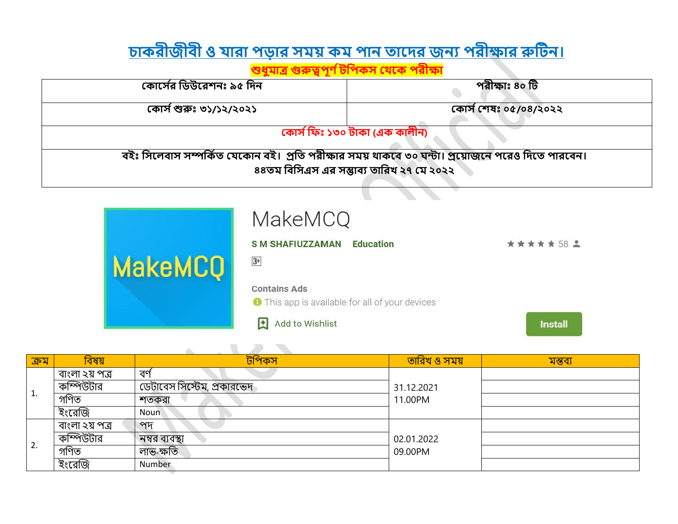## <u>চাকরীজীবী ও যারা পড়ার সময় কম পান তাদের জন্য পরীক্ষার রুটিন।</u>

## <u>শুধুমাত্র গুরুত্বপূর্ণ টপিকস থেকে পরীক্ষা</u>

| কোর্সের ডিউরেশনঃ ৯৫ দিন                                                                         | পরীক্ষাঃ ৪০ টি        |  |  |
|-------------------------------------------------------------------------------------------------|-----------------------|--|--|
| কোর্স শুরুঃ ৩১/১২/২০২১                                                                          | কোর্স শেষঃ ০৫/০৪/২০২২ |  |  |
| কোৰ্স ফিঃ ১৩০ টাকা (এক কালীন)                                                                   |                       |  |  |
| বইঃ সিলেবাস সম্পর্কিত যেকোন বই। প্রতি পরীক্ষার সময় থাকবে ৩০ ঘন্টা। প্রয়োজনে পরেও দিতে পারবেন। |                       |  |  |
| ৪৪তম বিসিএস এর সম্ভাব্য তারিখ ২৭ মে ২০২২                                                        |                       |  |  |

|                | <b>MakeMCQ</b>                                         |                |
|----------------|--------------------------------------------------------|----------------|
|                | <b>S M SHAFIUZZAMAN</b><br><b>Education</b>            | ★★★★★ 58 2     |
| <b>MakeMCQ</b> | $3+$                                                   |                |
|                | <b>Contains Ads</b>                                    |                |
|                | <b>O</b> This app is available for all of your devices |                |
|                | <b>Add to Wishlist</b>                                 | <b>Install</b> |

| ক্ৰম | বিষয়          | টপিকস                      | <u>তারিখ ও সময়</u> | মন্তব্য |
|------|----------------|----------------------------|---------------------|---------|
| Τ.   | বাংলা ২য় পত্ৰ | বর্ণ                       |                     |         |
|      | কম্পিউটার      | ডেটাবেস সিস্টেম, প্রকারভেদ | 31.12.2021          |         |
|      | গণিত           | শতকরা                      | 11.00PM             |         |
|      | ইংরেজি         | <b>Noun</b>                |                     |         |
|      | বাংলা ২য় পত্ৰ | পদ                         |                     |         |
| 2.   | কম্পিউটার      | নম্বর ব্যবস্থা             | 02.01.2022          |         |
|      | গণিত           | লাভ-ক্ষতি                  | 09.00PM             |         |
|      | ইংরেজি         | Number                     |                     |         |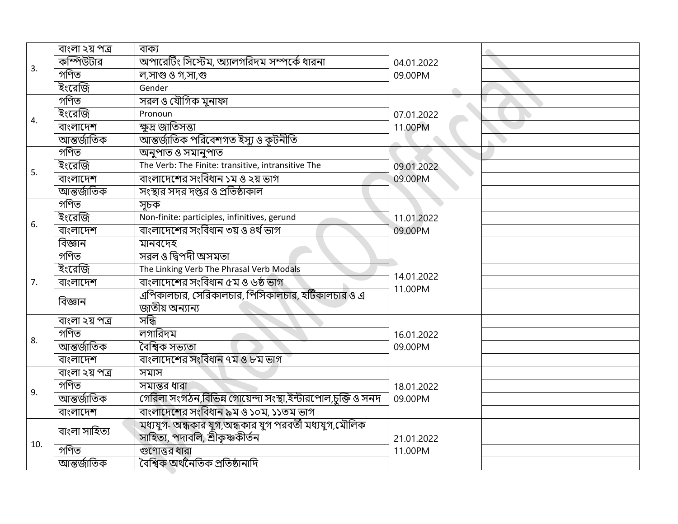|     | বাংলা ২য় পত্ৰ | বাক্য                                                                                      |            |
|-----|----------------|--------------------------------------------------------------------------------------------|------------|
| 3.  | কম্পিউটার      | অপারেটিং সিস্টেম, অ্যালগরিদম সম্পর্কে ধারনা                                                | 04.01.2022 |
|     | গণিত           | ল,সাগু ও গ,সা,গু                                                                           | 09.00PM    |
|     | ইংরেজি         | Gender                                                                                     |            |
|     | গণিত           | সরল ও যৌগিক মুনাফা                                                                         |            |
| 4.  | ইংরেজি         | Pronoun                                                                                    | 07.01.2022 |
|     | বাংলাদেশ       | ক্ষুদ্র জাতিসত্তা                                                                          | 11.00PM    |
|     | আন্তৰ্জাতিক    | আন্তর্জাতিক পরিবেশগত ইস্যু ও কূটনীতি                                                       |            |
|     | গণিত           | অনুপাত ও সমানুপাত                                                                          |            |
| 5.  | ইংরেজি         | The Verb: The Finite: transitive, intransitive The                                         | 09.01.2022 |
|     | বাংলাদেশ       | বাংলাদেশের সংবিধান ১ম ও ২য় ভাগ                                                            | 09.00PM    |
|     | আন্তৰ্জাতিক    | সংস্থার সদর দপ্তর ও প্রতিষ্ঠাকাল                                                           |            |
|     | গণিত           | সচক                                                                                        |            |
| 6.  | ইংরেজি         | Non-finite: participles, infinitives, gerund                                               | 11.01.2022 |
|     | বাংলাদেশ       | বাংলাদেশের সংবিধান ৩য় ও ৪র্থ ভাগ                                                          | 09.00PM    |
|     | বিজ্ঞান        | মানবদেহ                                                                                    |            |
|     | গণিত           | সরল ও দ্বিপদী অসমতা                                                                        |            |
|     | ইংরেজি         | The Linking Verb The Phrasal Verb Modals                                                   | 14.01.2022 |
| 7.  | বাংলাদেশ       | বাংলাদেশের সংবিধান ৫ম ও ৬ষ্ঠ ভাগ                                                           | 11.00PM    |
|     | বিজ্ঞান        | এপিকালচার, সেরিকালচার, পিসিকালচার, হটিকালচার ও এ<br>জাতীয় অন্যান্য                        |            |
|     | বাংলা ২য় পত্ৰ | সন্ধি                                                                                      |            |
| 8.  | গণিত           | লগারিদম                                                                                    | 16.01.2022 |
|     | আন্তৰ্জাতিক    | বৈশ্বিক সভ্যতা                                                                             | 09.00PM    |
|     | বাংলাদেশ       | বাংলাদেশের সংবিধান ৭ম ও ৮ম ভাগ                                                             |            |
|     | বাংলা ২য় পত্ৰ | সমাস                                                                                       |            |
| 9.  | গণিত           | সমান্তর ধারা                                                                               | 18.01.2022 |
|     | আন্তৰ্জাতিক    | গেরিলা সংগঠন,বিভিন্ন গোয়েন্দা সংস্থা,ইন্টারপোল,চুক্তি ও সনদ                               | 09.00PM    |
|     | বাংলাদেশ       | বাংলাদেশের সংবিধান ৯ম ও ১০ম, ১১তম ভাগ                                                      |            |
|     | বাংলা সাহিত্য  | মধ্যযুগ- অন্ধকার যুগ,অন্ধকার যুগ পরবর্তী মধ্যযুগ,মৌলিক<br>সাহিত্য, পদাবলি, শ্ৰীকৃষ্ণকীৰ্তন | 21.01.2022 |
| 10. | গণিত           | গুণোত্তর ধারা                                                                              | 11.00PM    |
|     | আন্তৰ্জাতিক    | বৈশ্বিক অৰ্থনৈতিক প্ৰতিষ্ঠানাদি                                                            |            |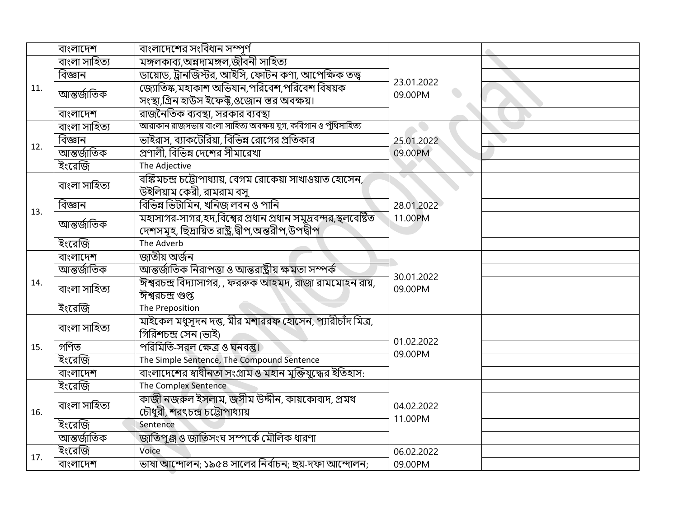|     | বাংলাদেশ      | বাংলাদেশের সংবিধান সম্পূর্ণ                                      |                       |  |
|-----|---------------|------------------------------------------------------------------|-----------------------|--|
| 11. | বাংলা সাহিত্য | মঙ্গলকাব্য,অন্নদামঙ্গল,জীবনী সাহিত্য                             |                       |  |
|     | বিজ্ঞান       | ডায়োড, ট্রানজিস্টর, আইসি, ফোটন কণা, আপেক্ষিক তত্ত্ব             | 23.01.2022            |  |
|     | আন্তৰ্জাতিক   | জ্যোতিষ্ক,মহাকাশ অভিযান,পরিবেশ,পরিবেশ বিষয়ক                     | $\bullet$<br>09.00PM  |  |
|     |               | সংস্থা,গ্রিন হাউস ইফেক্ট,ওজোন স্তর অবক্ষয়।                      |                       |  |
|     | বাংলাদেশ      | রাজনৈতিক ব্যবস্থা, সরকার ব্যবস্থা                                |                       |  |
|     | বাংলা সাহিত্য | আরাকান রাজসভায় বাংলা সাহিত্য অবক্ষয় যুগ, কবিগান ও পুঁথিসাহিত্য |                       |  |
| 12. | বিজ্ঞান       | ভাইরাস, ব্যাকটেরিয়া, বিভিন্ন রোগের প্রতিকার                     | 25.01.2022            |  |
|     | আন্তৰ্জাতিক   | স্রণালী, বিভিন্ন দেশের সীমারেখা                                  | 09.00PM               |  |
|     | ইংরেজি        | The Adjective                                                    |                       |  |
|     | বাংলা সাহিত্য | বঙ্কিমচন্দ্ৰ চট্টোপাধ্যায়, বেগম রোকেয়া সাখাওয়াত হোসেন,        |                       |  |
|     |               | উইলিয়াম কেরী, রামরাম বসু                                        |                       |  |
| 13. | বিজ্ঞান       | বিভিন্ন ভিটামিন, খনিজ লবন ও পানি                                 | 28.01.2022            |  |
|     | আন্তৰ্জাতিক   | মহাসাগর-সাগর,হদ,বিশ্বের প্রধান প্রধান সমুদ্রবন্দর,স্থলবেষ্টিত    | 11.00PM               |  |
|     |               | দেশসমূহ, ছিদ্ৰায়িত রাষ্ট্র,দ্বীপ,অন্তরীপ,উপদ্বীপ                |                       |  |
|     | ইংরেজি        | The Adverb                                                       |                       |  |
|     | বাংলাদেশ      | জাতীয় অর্জন                                                     |                       |  |
|     | আন্তৰ্জাতিক   | আন্তর্জাতিক নিরাপত্তা ও আন্তরাষ্ট্রীয় ক্ষমতা সম্পর্ক            | 30.01.2022<br>09.00PM |  |
| 14. | বাংলা সাহিত্য | ঈশ্বরচন্দ্র বিদ্যাসাগর, , ফররুক আহমদ, রাজা রামমোহন রায়,         |                       |  |
|     |               | ঈশ্বরচন্দ্র গুপ্ত                                                |                       |  |
|     | ইংরেজি        | The Preposition                                                  |                       |  |
|     | বাংলা সাহিত্য | মাইকেল মধুসূদন দত্ত, মীর মশাররফ হোসেন, প্যারীচাঁদ মিত্র,         | 01.02.2022<br>09.00PM |  |
|     |               | গিরিশচন্দ্র সেন (ভাই)                                            |                       |  |
| 15. | গণিত          | পরিমিতি-সরল ক্ষেত্র ও ঘনবস্তু।                                   |                       |  |
|     | ইংরেজি        | The Simple Sentence, The Compound Sentence                       |                       |  |
|     | বাংলাদেশ      | বাংলাদেশের স্বাধীনতা সংগ্রাম ও মহান মুক্তিযুদ্ধের ইতিহাস:        |                       |  |
|     | ইংরেজি        | The Complex Sentence                                             |                       |  |
|     | বাংলা সাহিত্য | কাজী নজরুল ইসলাম, জসীম উদ্দীন, কায়কোবাদ, প্রমথ                  | 04.02.2022            |  |
| 16. |               | চৌধুরী, শরৎচন্দ্র চট্টোপাধ্যায়                                  | 11.00PM               |  |
|     | ইংরেজি        | Sentence                                                         |                       |  |
|     | আন্তৰ্জাতিক   | জাতিপুঞ্জ ও জাতিসংঘ সম্পর্কে মৌলিক ধারণা                         |                       |  |
| 17. | ইংরেজি        | Voice                                                            | 06.02.2022            |  |
|     | বাংলাদেশ      | ভাষা আন্দোলন; ১৯৫৪ সালের নির্বাচন; ছয়-দফা আন্দোলন;              | 09.00PM               |  |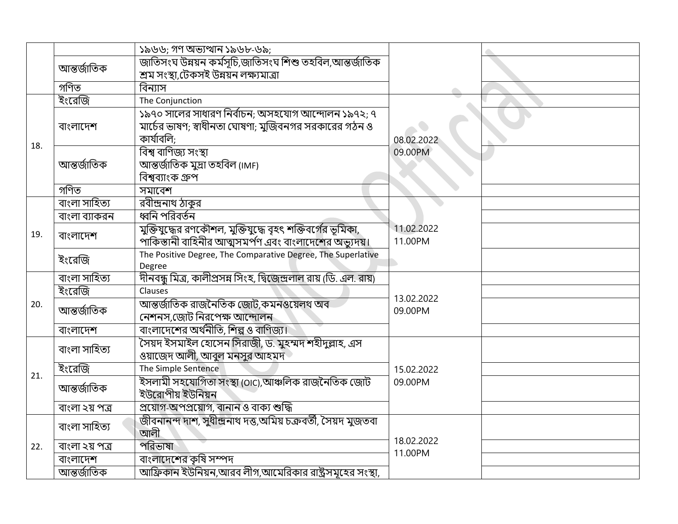|     |                | ১৯৬৬; গণ অভ্যত্থান ১৯৬৮-৬৯;                                          |                       |  |
|-----|----------------|----------------------------------------------------------------------|-----------------------|--|
|     | আন্তৰ্জাতিক    | জাতিসংঘ উন্নয়ন কৰ্মসূচি,জাতিসংঘ শিশু তহবিল,আন্তৰ্জাতিক              |                       |  |
|     |                | শ্ৰম সংস্থা,টেকসই উন্নয়ন লক্ষ্যমাত্ৰা                               |                       |  |
|     | গণিত           | বিন্যাস                                                              |                       |  |
|     | ইংরেজি         | The Conjunction                                                      |                       |  |
|     |                | ১৯৭০ সালের সাধারণ নির্বাচন; অসহযোগ আন্দোলন ১৯৭২; ৭                   |                       |  |
|     | বাংলাদেশ       | মার্চের ভাষণ; স্বাধীনতা ঘোষণা; মুজিবনগর সরকারের গঠন ও                |                       |  |
| 18. |                | কাৰ্যাবলি:                                                           | 08.02.2022            |  |
|     |                | বিশ্ব বাণিজ্য সংস্থা                                                 | 09.00PM               |  |
|     | আন্তৰ্জাতিক    | আন্তর্জাতিক মুদ্রা তহবিল (IMF)                                       |                       |  |
|     |                | বিশ্বব্যাংক গ্ৰুপ                                                    |                       |  |
|     | গণিত           | সমাবেশ                                                               |                       |  |
|     | বাংলা সাহিত্য  | রবীন্দ্রনাথ ঠাকুর                                                    |                       |  |
|     | বাংলা ব্যাকরন  | ধ্বনি পরিবর্তন                                                       |                       |  |
| 19. | বাংলাদেশ       | মুক্তিযুদ্ধের রণকৌশল, মুক্তিযুদ্ধে বৃহৎ শক্তিবর্গের ভূমিকা,          | 11.02.2022            |  |
|     |                | পাকিস্তানী বাহিনীর আত্মসমর্পণ এবং বাংলাদেশের অভ্যুদয়।               | 11.00PM               |  |
|     | ইংরেজি         | The Positive Degree, The Comparative Degree, The Superlative         |                       |  |
|     |                | Degree                                                               |                       |  |
|     | বাংলা সাহিত্য  | দীনবন্ধু মিত্র, কালীপ্রসন্ন সিংহ, দ্বিজেন্দ্রলাল রায় (ডি. এল. রায়) |                       |  |
|     | ইংরেজি         | Clauses                                                              | 13.02.2022            |  |
| 20. | আন্তৰ্জাতিক    | আন্তর্জাতিক রাজনৈতিক জোট,কমনওয়েলথ অব                                | 09.00PM               |  |
|     |                | নেশনস,জোট নিরপেক্ষ আন্দোলন                                           |                       |  |
|     | বাংলাদেশ       | বাংলাদেশের অর্থনীতি, শিল্প ও বাণিজ্য।                                |                       |  |
|     | বাংলা সাহিত্য  | সৈয়দ ইসমাইল হোসেন সিরাজী, ড. মুহম্মদ শহীদুল্লাহ, এস                 |                       |  |
|     |                | ওয়াজেদ আলী, আবুল মনসুর আহমদ                                         |                       |  |
| 21. | ইংরেজি         | The Simple Sentence                                                  | 15.02.2022            |  |
|     | আন্তৰ্জাতিক    | ইসলামী সহযোগিতা সংস্থা (OIC),আঞ্চলিক রাজনৈতিক জোট                    | 09.00PM               |  |
|     |                | ইউরোপীয় ইউনিয়ন                                                     |                       |  |
|     | বাংলা ২য় পত্ৰ | প্রয়োগ-অপপ্রয়োগ, বানান ও বাক্য শুদ্ধি                              |                       |  |
| 22. | বাংলা সাহিত্য  | জীবনানন্দ দাশ, সুধীন্দ্ৰনাথ দত্ত,অমিয় চক্ৰবৰ্তী, সৈয়দ মুজতবা       |                       |  |
|     |                | আলী                                                                  | 18.02.2022<br>11.00PM |  |
|     | বাংলা ২য় পত্ৰ | পরিভাষা                                                              |                       |  |
|     | বাংলাদেশ       | বাংলাদেশের কৃষি সম্পদ                                                |                       |  |
|     | আন্তৰ্জাতিক    | আফ্রিকান ইউনিয়ন,আরব লীগ,আমেরিকার রাষ্ট্রসমূহের সংস্থা,              |                       |  |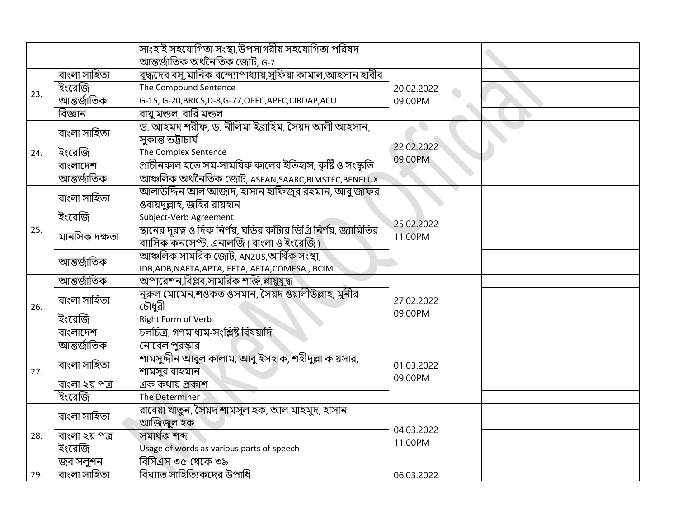|     |                | সাংহাই সহযোগিতা সংস্থা,উপসাগরীয় সহযোগিতা পরিষদ                      |                       |  |
|-----|----------------|----------------------------------------------------------------------|-----------------------|--|
|     |                | আন্তর্জাতিক অর্থনৈতিক জোট, G-7                                       |                       |  |
| 23. | বাংলা সাহিত্য  | বুদ্ধদেব বসু,মানিক বন্দ্যোপাধ্যায়,সুফিয়া কামাল,আহসান হাবীব         |                       |  |
|     | ইংরেজি         | The Compound Sentence                                                | 20.02.2022            |  |
|     | আন্তৰ্জাতিক    | G-15, G-20, BRICS, D-8, G-77, OPEC, APEC, CIRDAP, ACU                | 09.00PM               |  |
|     | বিজ্ঞান        | বায়ু মন্ডল, বারি মন্ডল                                              |                       |  |
|     | বাংলা সাহিত্য  | ড. আহমদ শরীফ, ড. নীলিমা ইব্রাহিম, সৈয়দ আলী আহসান,                   |                       |  |
|     |                | সকান্ত ভট্টাচাৰ্য                                                    | 22.02.2022            |  |
| 24. | ইংরেজি         | The Complex Sentence                                                 | 09.00PM               |  |
|     | বাংলাদেশ       | প্রাচীনকাল হতে সম-সাময়িক কালের ইতিহাস, কৃষ্টি ও সংস্কৃতি            |                       |  |
|     | আন্তৰ্জাতিক    | আঞ্চলিক অর্থনৈতিক জোট, ASEAN, SAARC, BIMSTEC, BENELUX                |                       |  |
|     | বাংলা সাহিত্য  | আলাউদ্দিন আল আজাদ, হাসান হাফিজুর রহমান, আবু জাফর                     |                       |  |
|     |                | ওবায়দল্লাহ, জহির রায়হান                                            |                       |  |
|     | ইংরেজি         | Subject-Verb Agreement                                               | 25.02.2022            |  |
| 25. | মানসিক দক্ষতা  | স্থানের দূরত্ব ও দিক নির্ণয়, ঘড়ির কাঁটার ডিগ্রি নির্ণয়, জ্যামিতির | 11.00PM               |  |
|     |                | ব্যাসিক কনসেপ্ট, এনালজি ( বাংলা ও ইংরেজি )                           |                       |  |
|     | আন্তৰ্জাতিক    | আঞ্চলিক সামরিক জোট, ANZUS,আর্থিক সংস্থা,                             |                       |  |
|     |                | IDB, ADB, NAFTA, APTA, EFTA, AFTA, COMESA, BCIM                      |                       |  |
|     | আন্তৰ্জাতিক    | অপারেশন,বিপ্লব,সামরিক শক্তি,সায়ুযুদ্ধ                               |                       |  |
|     | বাংলা সাহিত্য  | নুরুল মোমেন,শওকত ওসমান, সৈয়দ ওয়ালীউল্লাহ, মুনীর                    | 27.02.2022<br>09.00PM |  |
| 26. |                | চৌধুরী                                                               |                       |  |
|     | ইংরেজি         | <b>Right Form of Verb</b>                                            |                       |  |
|     | বাংলাদেশ       | চলচিত্ৰ, গণমাধ্যম-সংশ্লিষ্ট বিষয়াদি                                 |                       |  |
|     | আন্তৰ্জাতিক    | নোবেল পুরস্কার                                                       |                       |  |
|     | বাংলা সাহিত্য  | শামসুদ্দীন আবুল কালাম, আবু ইসহাক, শহীদুল্লা কায়সার,                 | 01.03.2022            |  |
| 27. |                | শামসুর রাহমান                                                        | 09.00PM               |  |
|     | বাংলা ২য় পত্ৰ | এক কথায় প্রকাশ                                                      |                       |  |
|     | ইংরেজি         | The Determiner                                                       |                       |  |
|     | বাংলা সাহিত্য  | রাবেয়া খাতুন, সৈয়দ শামসুল হক, আল মাহমুদ, হাসান                     |                       |  |
|     |                | আজিজুল হক                                                            | 04.03.2022            |  |
| 28. | বাংলা ২য় পত্ৰ | সমাৰ্থক শব্দ                                                         | 11.00PM               |  |
|     | ইংরেজি         | Usage of words as various parts of speech                            |                       |  |
|     | জব সলুশন       | বিসিএস ৩৫ থেকে ৩৯                                                    |                       |  |
| 29. | বাংলা সাহিত্য  | বিখ্যাত সাহিত্যিকদের উপাধি                                           | 06.03.2022            |  |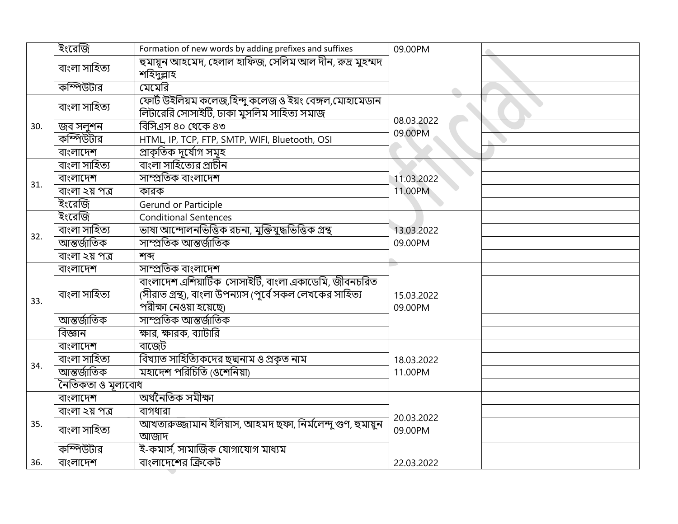|     | ইংরেজি             | Formation of new words by adding prefixes and suffixes                                                                                    | 09.00PM               |  |
|-----|--------------------|-------------------------------------------------------------------------------------------------------------------------------------------|-----------------------|--|
|     | বাংলা সাহিত্য      | হুমায়ূন আহমেদ, হেলাল হাফিজ, সেলিম আল দীন, রুদ্র মুহম্মদ<br>শহিদুল্লাহ                                                                    |                       |  |
|     | কম্পিউটার          | মেমেরি                                                                                                                                    |                       |  |
|     | বাংলা সাহিত্য      | ফোর্ট উইলিয়ম কলেজ,হিন্দু কলেজ ও ইয়ং বেঙ্গল,মোহামেডান<br>লিটারেরি সোসাইটি, ঢাকা মুসলিম সাহিত্য সমাজ                                      |                       |  |
| 30. | জব সলুশন           | বিসিএস ৪০ থেকে ৪৩                                                                                                                         | 08.03.2022<br>09.00PM |  |
|     | কম্পিউটার          | HTML, IP, TCP, FTP, SMTP, WIFI, Bluetooth, OSI                                                                                            |                       |  |
|     | বাংলাদেশ           | প্ৰাকৃতিক দুৰ্যোগ সমূহ                                                                                                                    |                       |  |
|     | বাংলা সাহিত্য      | বাংলা সাহিত্যের প্রাচীন                                                                                                                   |                       |  |
| 31. | বাংলাদেশ           | সাম্প্ৰতিক বাংলাদেশ                                                                                                                       | 11.03.2022            |  |
|     | বাংলা ২য় পত্ৰ     | কারক                                                                                                                                      | 11.00PM               |  |
|     | ইংরেজি             | Gerund or Participle                                                                                                                      |                       |  |
|     | ইংরেজি             | <b>Conditional Sentences</b>                                                                                                              |                       |  |
|     | বাংলা সাহিত্য      | ভাষা আন্দোলনভিত্তিক রচনা, মুক্তিযুদ্ধভিত্তিক গ্রন্থ                                                                                       | 13.03.2022            |  |
| 32. | আন্তৰ্জাতিক        | সাম্প্ৰতিক আন্তৰ্জাতিক                                                                                                                    | 09.00PM               |  |
|     | বাংলা ২য় পত্ৰ     | শব্দ                                                                                                                                      |                       |  |
|     | বাংলাদেশ           | সাম্প্ৰতিক বাংলাদেশ                                                                                                                       |                       |  |
| 33. | বাংলা সাহিত্য      | বাংলাদেশ এশিয়াটিক সোসাইটি, বাংলা একাডেমি, জীবনচরিত<br>(সীরাত গ্রন্থ), বাংলা উপন্যাস (পূর্বে সকল লেখকের সাহিত্য<br>পরীক্ষা নেওয়া হয়েছে৷ | 15.03.2022<br>09.00PM |  |
|     | আন্তৰ্জাতিক        | সাম্প্ৰতিক আন্তৰ্জাতিক                                                                                                                    |                       |  |
|     | বিজ্ঞান            | ক্ষার, ক্ষারক, ব্যাটারি                                                                                                                   |                       |  |
|     | বাংলাদেশ           | বাজেট                                                                                                                                     |                       |  |
|     | বাংলা সাহিত্য      | বিখ্যাত সাহিত্যিকদের ছদ্মনাম ও প্রকৃত নাম                                                                                                 | 18.03.2022            |  |
| 34. | আন্তৰ্জাতিক        | মহাদেশ পরিচিতি (ওশেনিয়া)                                                                                                                 | 11.00PM               |  |
|     | নৈতিকতা ও মূল্যবোধ |                                                                                                                                           |                       |  |
|     | বাংলাদেশ           | অৰ্থনৈতিক সমীক্ষা                                                                                                                         |                       |  |
| 35. | বাংলা ২য় পত্ৰ     | বাগধারা                                                                                                                                   |                       |  |
|     | বাংলা সাহিত্য      | আখতারুজ্জামান ইলিয়াস, আহমদ ছফা, নির্মলেন্দু গুণ, হুমায়ুন<br>আজাদ                                                                        | 20.03.2022<br>09.00PM |  |
|     | কম্পিউটার          | ই-কমার্স, সামাজিক যোগাযোগ মাধ্যম                                                                                                          |                       |  |
| 36. | বাংলাদেশ           | বাংলাদেশের ক্রিকেট                                                                                                                        | 22.03.2022            |  |

 $\blacktriangledown$